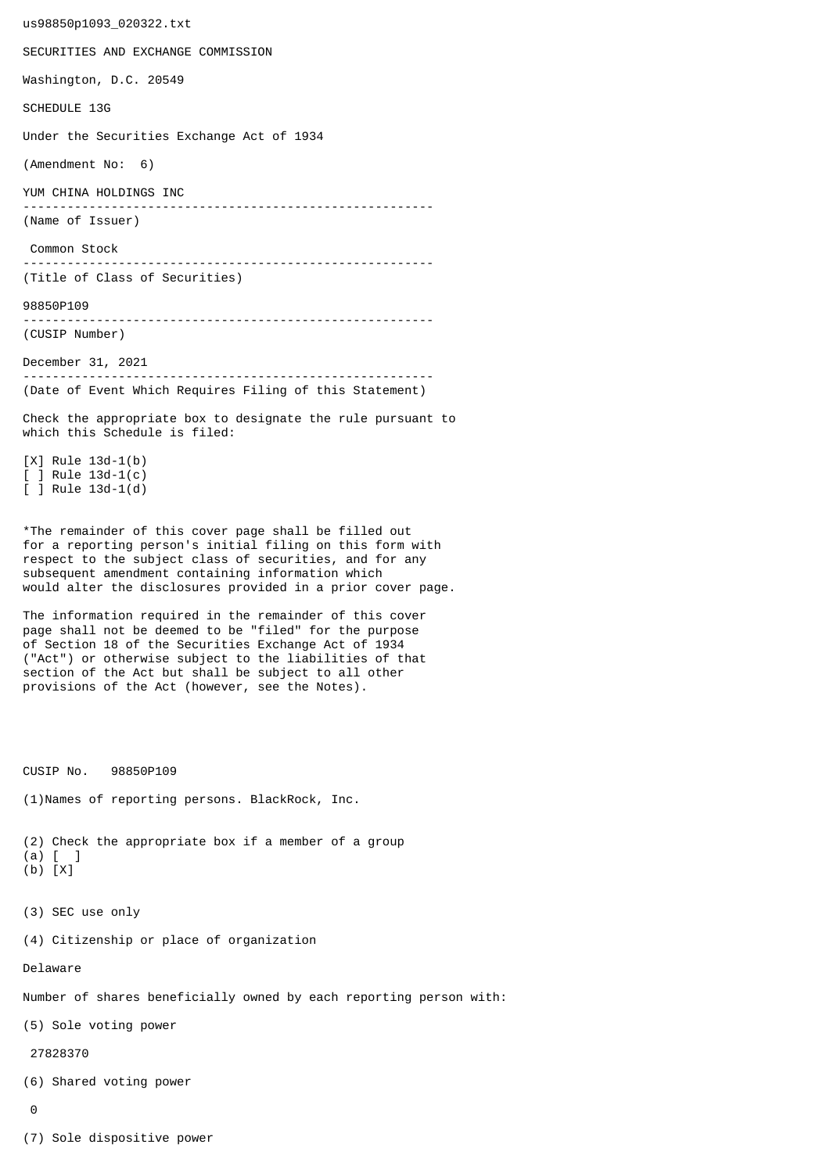us98850p1093\_020322.txt SECURITIES AND EXCHANGE COMMISSION Washington, D.C. 20549 SCHEDULE 13G Under the Securities Exchange Act of 1934 (Amendment No: 6) YUM CHINA HOLDINGS INC -------------------------------------------------------- (Name of Issuer) Common Stock -------------------------------------------------------- (Title of Class of Securities) 98850P109 -------------------------------------------------------- (CUSIP Number) December 31, 2021 -------------------------------------------------------- (Date of Event Which Requires Filing of this Statement) Check the appropriate box to designate the rule pursuant to which this Schedule is filed: [X] Rule 13d-1(b) [ ] Rule 13d-1(c) [ ] Rule 13d-1(d) \*The remainder of this cover page shall be filled out for a reporting person's initial filing on this form with respect to the subject class of securities, and for any subsequent amendment containing information which would alter the disclosures provided in a prior cover page. The information required in the remainder of this cover page shall not be deemed to be "filed" for the purpose of Section 18 of the Securities Exchange Act of 1934 ("Act") or otherwise subject to the liabilities of that section of the Act but shall be subject to all other provisions of the Act (however, see the Notes). CUSIP No. 98850P109 (1)Names of reporting persons. BlackRock, Inc. (2) Check the appropriate box if a member of a group (a) [ ] (b) [X] (3) SEC use only (4) Citizenship or place of organization Delaware Number of shares beneficially owned by each reporting person with: (5) Sole voting power 27828370 (6) Shared voting power  $\Omega$ 

(7) Sole dispositive power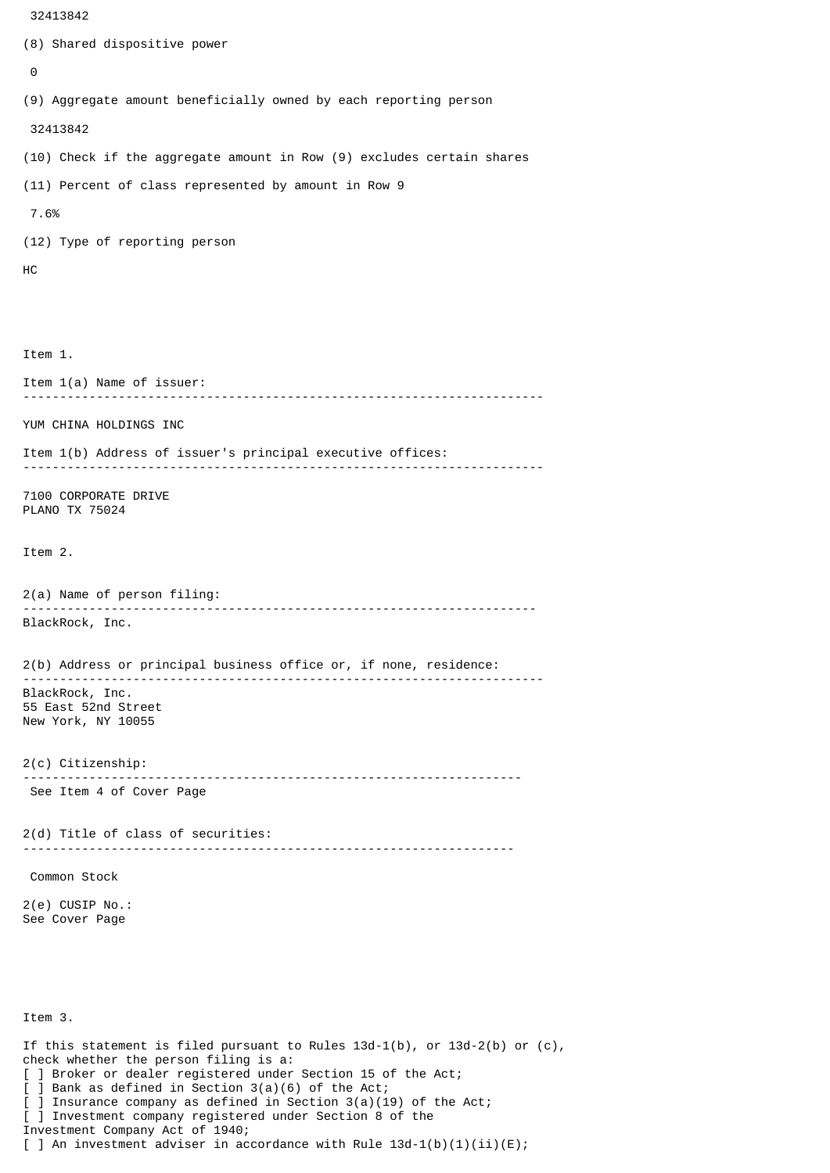```
 32413842
(8) Shared dispositive power
 \boldsymbol{\Theta}(9) Aggregate amount beneficially owned by each reporting person
  32413842
(10) Check if the aggregate amount in Row (9) excludes certain shares
(11) Percent of class represented by amount in Row 9
  7.6%
(12) Type of reporting person
HC
Item 1.
Item 1(a) Name of issuer:
           -----------------------------------------------------------------------
YUM CHINA HOLDINGS INC
Item 1(b) Address of issuer's principal executive offices:
-----------------------------------------------------------------------
7100 CORPORATE DRIVE
PLANO TX 75024
Item 2.
2(a) Name of person filing:
               ----------------------------------------------------------------------
BlackRock, Inc.
2(b) Address or principal business office or, if none, residence:
 -----------------------------------------------------------------------
BlackRock, Inc.
55 East 52nd Street
New York, NY 10055
2(c) Citizenship:
                            --------------------------------------------------------------------
 See Item 4 of Cover Page
2(d) Title of class of securities:
                                       -------------------------------------------------------------------
 Common Stock
2(e) CUSIP No.:
See Cover Page
Item 3.
If this statement is filed pursuant to Rules 13d-1(b), or 13d-2(b) or (c),
check whether the person filing is a:
[ ] Broker or dealer registered under Section 15 of the Act;
```
[ ] Bank as defined in Section 3(a)(6) of the Act;

] Insurance company as defined in Section  $3(a)(19)$  of the Act;

[ ] Investment company registered under Section 8 of the

Investment Company Act of 1940;

[ ] An investment adviser in accordance with Rule  $13d-1(b)(1)(ii)(E)$ ;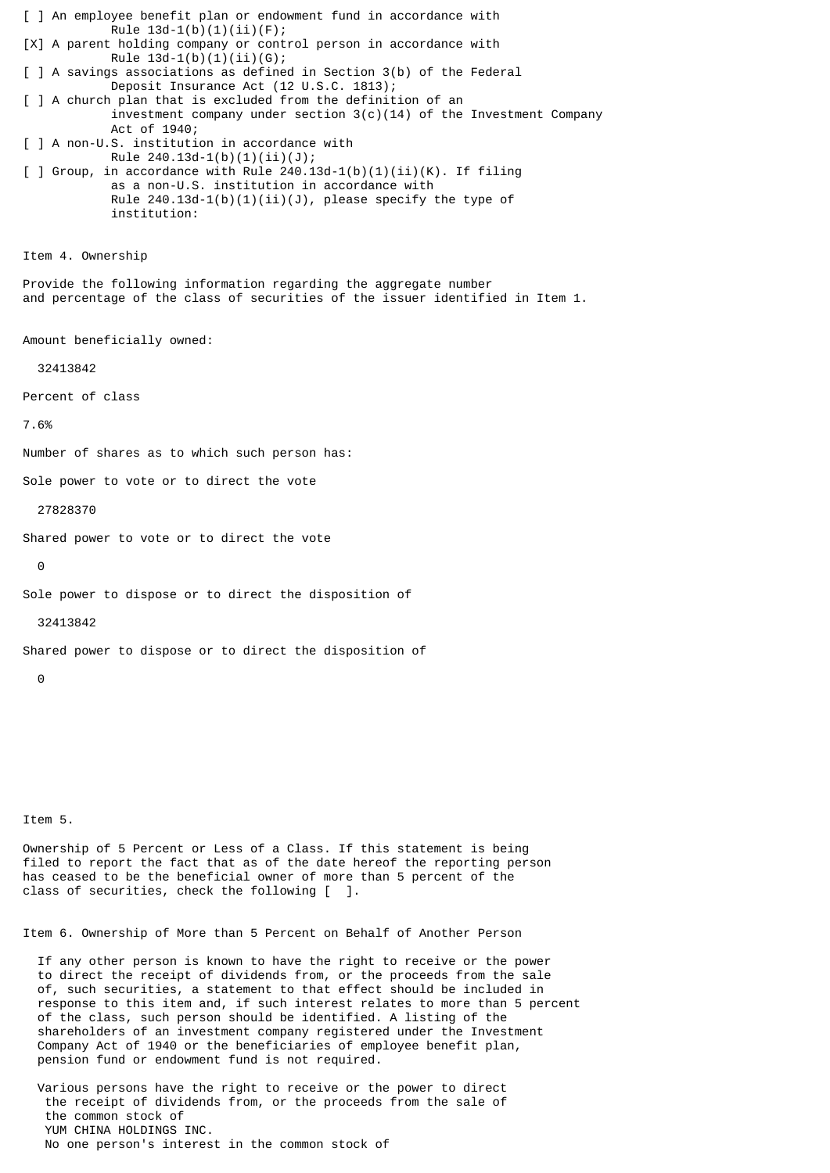[ ] An employee benefit plan or endowment fund in accordance with Rule  $13d-1(b)(1)(ii)(F);$ [X] A parent holding company or control person in accordance with Rule  $13d-1(b)(1)(ii)(G);$ [ ] A savings associations as defined in Section 3(b) of the Federal Deposit Insurance Act (12 U.S.C. 1813); [ ] A church plan that is excluded from the definition of an investment company under section  $3(c)(14)$  of the Investment Company Act of 1940; [ ] A non-U.S. institution in accordance with Rule 240.13d-1(b)(1)(ii)(J);  $\lceil$  ] Group, in accordance with Rule 240.13d-1(b)(1)(ii)(K). If filing as a non-U.S. institution in accordance with Rule  $240.13d-1(b)(1)(ii)(J)$ , please specify the type of institution: Item 4. Ownership Provide the following information regarding the aggregate number and percentage of the class of securities of the issuer identified in Item 1. Amount beneficially owned: 32413842 Percent of class 7.6% Number of shares as to which such person has: Sole power to vote or to direct the vote 27828370 Shared power to vote or to direct the vote  $\Theta$ Sole power to dispose or to direct the disposition of 32413842 Shared power to dispose or to direct the disposition of

 $\Omega$ 

Item 5.

Ownership of 5 Percent or Less of a Class. If this statement is being filed to report the fact that as of the date hereof the reporting person has ceased to be the beneficial owner of more than 5 percent of the class of securities, check the following [ ].

Item 6. Ownership of More than 5 Percent on Behalf of Another Person

 If any other person is known to have the right to receive or the power to direct the receipt of dividends from, or the proceeds from the sale of, such securities, a statement to that effect should be included in response to this item and, if such interest relates to more than 5 percent of the class, such person should be identified. A listing of the shareholders of an investment company registered under the Investment Company Act of 1940 or the beneficiaries of employee benefit plan, pension fund or endowment fund is not required.

 Various persons have the right to receive or the power to direct the receipt of dividends from, or the proceeds from the sale of the common stock of YUM CHINA HOLDINGS INC. No one person's interest in the common stock of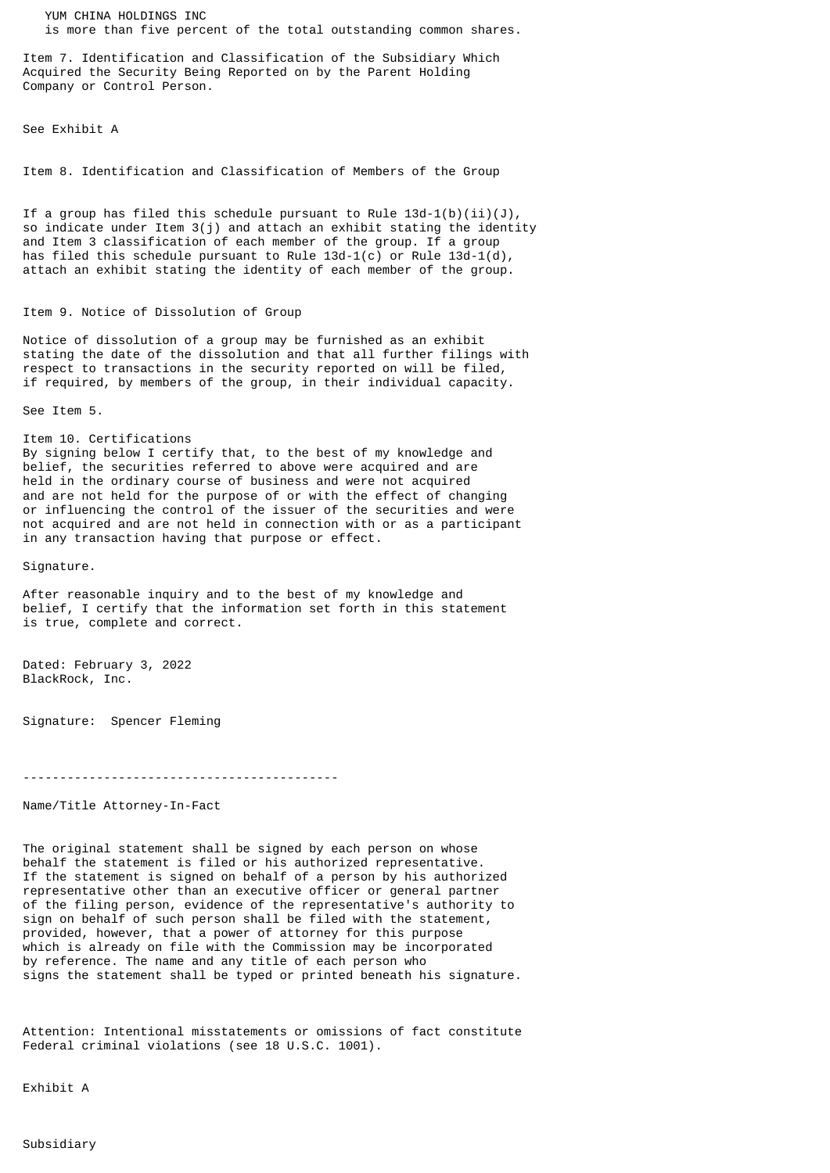YUM CHINA HOLDINGS INC is more than five percent of the total outstanding common shares.

Item 7. Identification and Classification of the Subsidiary Which Acquired the Security Being Reported on by the Parent Holding Company or Control Person.

See Exhibit A

Item 8. Identification and Classification of Members of the Group

If a group has filed this schedule pursuant to Rule  $13d-1(b)(ii)(J)$ , so indicate under Item 3(j) and attach an exhibit stating the identity and Item 3 classification of each member of the group. If a group has filed this schedule pursuant to Rule  $13d-1(c)$  or Rule  $13d-1(d)$ , attach an exhibit stating the identity of each member of the group.

## Item 9. Notice of Dissolution of Group

Notice of dissolution of a group may be furnished as an exhibit stating the date of the dissolution and that all further filings with respect to transactions in the security reported on will be filed, if required, by members of the group, in their individual capacity.

See Item 5.

Item 10. Certifications By signing below I certify that, to the best of my knowledge and belief, the securities referred to above were acquired and are held in the ordinary course of business and were not acquired and are not held for the purpose of or with the effect of changing or influencing the control of the issuer of the securities and were not acquired and are not held in connection with or as a participant

in any transaction having that purpose or effect.

Signature.

After reasonable inquiry and to the best of my knowledge and belief, I certify that the information set forth in this statement is true, complete and correct.

Dated: February 3, 2022 BlackRock, Inc.

Signature: Spencer Fleming

-------------------------------------------

Name/Title Attorney-In-Fact

The original statement shall be signed by each person on whose behalf the statement is filed or his authorized representative. If the statement is signed on behalf of a person by his authorized representative other than an executive officer or general partner of the filing person, evidence of the representative's authority to sign on behalf of such person shall be filed with the statement, provided, however, that a power of attorney for this purpose which is already on file with the Commission may be incorporated by reference. The name and any title of each person who signs the statement shall be typed or printed beneath his signature.

Attention: Intentional misstatements or omissions of fact constitute Federal criminal violations (see 18 U.S.C. 1001).

Exhibit A